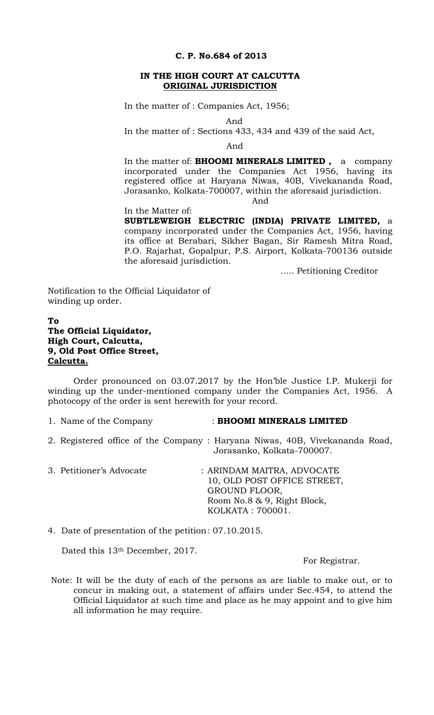#### **C. P. No.684 of 2013**

#### **IN THE HIGH COURT AT CALCUTTA ORIGINAL JURISDICTION**

In the matter of : Companies Act, 1956;

And

In the matter of : Sections 433, 434 and 439 of the said Act,

And

In the matter of: **BHOOMI MINERALS LIMITED ,** a company incorporated under the Companies Act 1956, having its registered office at Haryana Niwas, 40B, Vivekananda Road, Jorasanko, Kolkata-700007, within the aforesaid jurisdiction. And

# In the Matter of:

**SUBTLEWEIGH ELECTRIC (INDIA) PRIVATE LIMITED,** a company incorporated under the Companies Act, 1956, having its office at Berabari, Sikher Bagan, Sir Ramesh Mitra Road, P.O. Rajarhat, Gopalpur, P.S. Airport, Kolkata-700136 outside the aforesaid jurisdiction.

….. Petitioning Creditor

Notification to the Official Liquidator of winding up order.

## **To The Official Liquidator, High Court, Calcutta, 9, Old Post Office Street, Calcutta.**

Order pronounced on 03.07.2017 by the Hon'ble Justice I.P. Mukerji for winding up the under-mentioned company under the Companies Act, 1956. A photocopy of the order is sent herewith for your record.

#### 1. Name of the Company : **BHOOMI MINERALS LIMITED**

- 2. Registered office of the Company : Haryana Niwas, 40B, Vivekananda Road, Jorasanko, Kolkata-700007.
- 3. Petitioner's Advocate : ARINDAM MAITRA, ADVOCATE 10, OLD POST OFFICE STREET, GROUND FLOOR, Room No.8 & 9, Right Block, KOLKATA : 700001.

4. Date of presentation of the petition : 07.10.2015.

Dated this 13th December, 2017.

For Registrar.

Note: It will be the duty of each of the persons as are liable to make out, or to concur in making out, a statement of affairs under Sec.454, to attend the Official Liquidator at such time and place as he may appoint and to give him all information he may require.